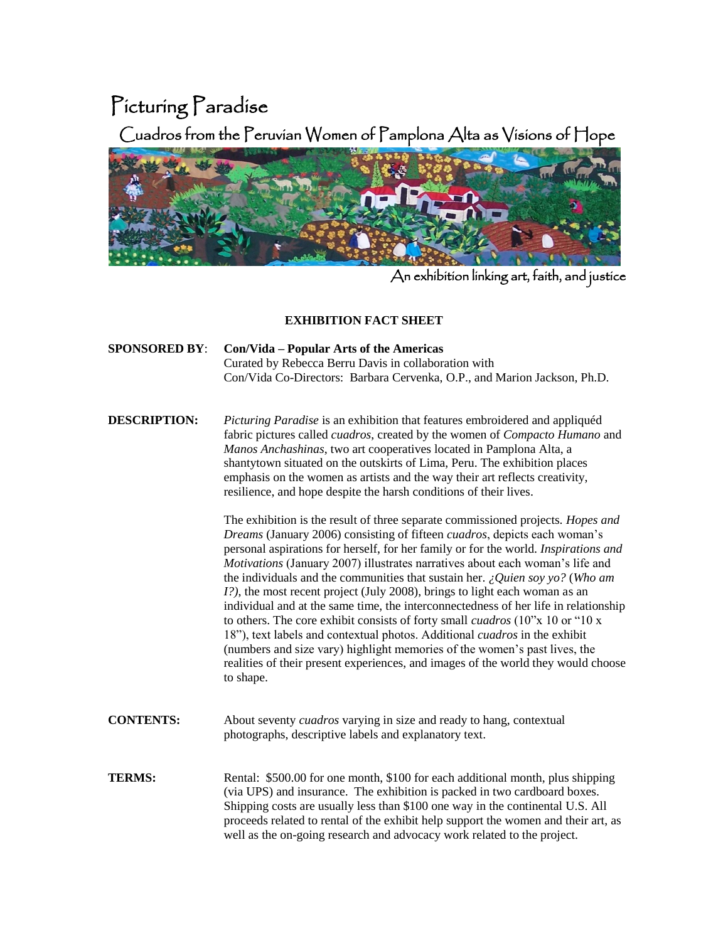## Picturing Paradise

Cuadros from the Peruvian Women of Pamplona Alta as Visions of Hope



An exhibition linking art, faith, and justice

## **EXHIBITION FACT SHEET**

 **SPONSORED BY**: **Con/Vida – Popular Arts of the Americas** Curated by Rebecca Berru Davis in collaboration with Con/Vida Co-Directors: Barbara Cervenka, O.P., and Marion Jackson, Ph.D.

 **DESCRIPTION:** *Picturing Paradise* is an exhibition that features embroidered and appliquéd fabric pictures called *cuadros*, created by the women of *Compacto Humano* and *Manos Anchashinas*, two art cooperatives located in Pamplona Alta, a shantytown situated on the outskirts of Lima, Peru. The exhibition places emphasis on the women as artists and the way their art reflects creativity, resilience, and hope despite the harsh conditions of their lives.

> The exhibition is the result of three separate commissioned projects. *Hopes and Dreams* (January 2006) consisting of fifteen *cuadros*, depicts each woman's personal aspirations for herself, for her family or for the world. *Inspirations and Motivations* (January 2007) illustrates narratives about each woman's life and the individuals and the communities that sustain her. *¿Quien soy yo?* (*Who am I?*), the most recent project (July 2008), brings to light each woman as an individual and at the same time, the interconnectedness of her life in relationship to others. The core exhibit consists of forty small *cuadros* (10"x 10 or "10 x 18"), text labels and contextual photos. Additional *cuadros* in the exhibit (numbers and size vary) highlight memories of the women's past lives, the realities of their present experiences, and images of the world they would choose to shape.

- **CONTENTS:** About seventy *cuadros* varying in size and ready to hang, contextual photographs, descriptive labels and explanatory text.
- **TERMS:** Rental: \$500.00 for one month, \$100 for each additional month, plus shipping (via UPS) and insurance. The exhibition is packed in two cardboard boxes. Shipping costs are usually less than \$100 one way in the continental U.S. All proceeds related to rental of the exhibit help support the women and their art, as well as the on-going research and advocacy work related to the project.